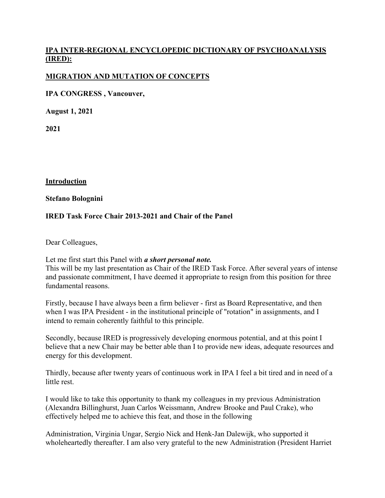# **IPA INTER-REGIONAL ENCYCLOPEDIC DICTIONARY OF PSYCHOANALYSIS (IRED):**

## **MIGRATION AND MUTATION OF CONCEPTS**

**IPA CONGRESS , Vancouver,** 

**August 1, 2021**

**2021**

**Introduction**

#### **Stefano Bolognini**

## **IRED Task Force Chair 2013-2021 and Chair of the Panel**

Dear Colleagues,

Let me first start this Panel with *a short personal note.* This will be my last presentation as Chair of the IRED Task Force. After several years of intense and passionate commitment, I have deemed it appropriate to resign from this position for three fundamental reasons.

Firstly, because I have always been a firm believer - first as Board Representative, and then when I was IPA President - in the institutional principle of "rotation" in assignments, and I intend to remain coherently faithful to this principle.

Secondly, because IRED is progressively developing enormous potential, and at this point I believe that a new Chair may be better able than I to provide new ideas, adequate resources and energy for this development.

Thirdly, because after twenty years of continuous work in IPA I feel a bit tired and in need of a little rest.

I would like to take this opportunity to thank my colleagues in my previous Administration (Alexandra Billinghurst, Juan Carlos Weissmann, Andrew Brooke and Paul Crake), who effectively helped me to achieve this feat, and those in the following

Administration, Virginia Ungar, Sergio Nick and Henk-Jan Dalewijk, who supported it wholeheartedly thereafter. I am also very grateful to the new Administration (President Harriet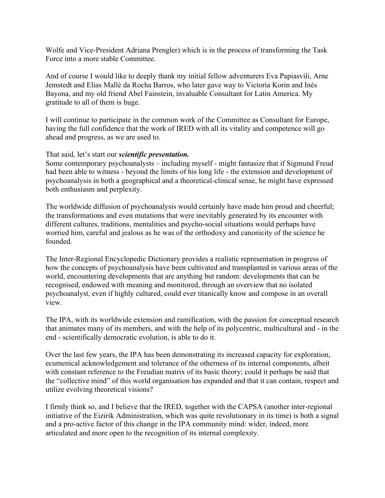Wolfe and Vice-President Adriana Prengler) which is in the process of transforming the Task Force into a more stable Committee.

And of course I would like to deeply thank my initial fellow adventurers Eva Papiasvili, Arne Jemstedt and Elias Mallè da Rocha Barros, who later gave way to Victoria Korin and Inés Bayona, and my old friend Abel Fainstein, invaluable Consultant for Latin America. My gratitude to all of them is huge.

I will continue to participate in the common work of the Committee as Consultant for Europe, having the full confidence that the work of IRED with all its vitality and competence will go ahead and progress, as we are used to.

#### That said, let's start our *scientific presentation.*

Some contemporary psychoanalysts – including myself - might fantasize that if Sigmund Freud had been able to witness - beyond the limits of his long life - the extension and development of psychoanalysis in both a geographical and a theoretical-clinical sense, he might have expressed both enthusiasm and perplexity.

The worldwide diffusion of psychoanalysis would certainly have made him proud and cheerful; the transformations and even mutations that were inevitably generated by its encounter with different cultures, traditions, mentalities and psycho-social situations would perhaps have worried him, careful and jealous as he was of the orthodoxy and canonicity of the science he founded.

The Inter-Regional Encyclopedic Dictionary provides a realistic representation in progress of how the concepts of psychoanalysis have been cultivated and transplanted in various areas of the world, encountering developments that are anything but random: developments that can be recognised, endowed with meaning and monitored, through an overview that no isolated psychoanalyst, even if highly cultured, could ever titanically know and compose in an overall view.

The IPA, with its worldwide extension and ramification, with the passion for conceptual research that animates many of its members, and with the help of its polycentric, multicultural and - in the end - scientifically democratic evolution, is able to do it.

Over the last few years, the IPA has been demonstrating its increased capacity for exploration, ecumenical acknowledgement and tolerance of the otherness of its internal components, albeit with constant reference to the Freudian matrix of its basic theory; could it perhaps be said that the "collective mind" of this world organisation has expanded and that it can contain, respect and utilize evolving theoretical visions?

I firmly think so, and I believe that the IRED, together with the CAPSA (another inter-regional initiative of the Eizirik Administration, which was quite revolutionary in its time) is both a signal and a pro-active factor of this change in the IPA community mind: wider, indeed, more articulated and more open to the recognition of its internal complexity.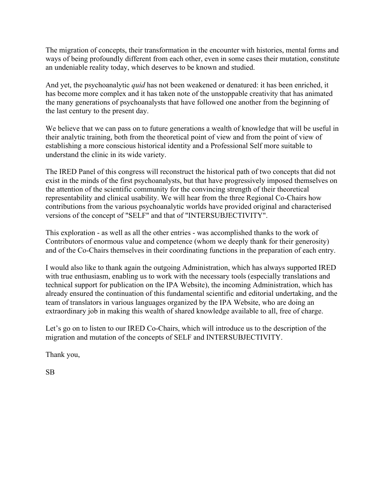The migration of concepts, their transformation in the encounter with histories, mental forms and ways of being profoundly different from each other, even in some cases their mutation, constitute an undeniable reality today, which deserves to be known and studied.

And yet, the psychoanalytic *quid* has not been weakened or denatured: it has been enriched, it has become more complex and it has taken note of the unstoppable creativity that has animated the many generations of psychoanalysts that have followed one another from the beginning of the last century to the present day.

We believe that we can pass on to future generations a wealth of knowledge that will be useful in their analytic training, both from the theoretical point of view and from the point of view of establishing a more conscious historical identity and a Professional Self more suitable to understand the clinic in its wide variety.

The IRED Panel of this congress will reconstruct the historical path of two concepts that did not exist in the minds of the first psychoanalysts, but that have progressively imposed themselves on the attention of the scientific community for the convincing strength of their theoretical representability and clinical usability. We will hear from the three Regional Co-Chairs how contributions from the various psychoanalytic worlds have provided original and characterised versions of the concept of "SELF" and that of "INTERSUBJECTIVITY".

This exploration - as well as all the other entries - was accomplished thanks to the work of Contributors of enormous value and competence (whom we deeply thank for their generosity) and of the Co-Chairs themselves in their coordinating functions in the preparation of each entry.

I would also like to thank again the outgoing Administration, which has always supported IRED with true enthusiasm, enabling us to work with the necessary tools (especially translations and technical support for publication on the IPA Website), the incoming Administration, which has already ensured the continuation of this fundamental scientific and editorial undertaking, and the team of translators in various languages organized by the IPA Website, who are doing an extraordinary job in making this wealth of shared knowledge available to all, free of charge.

Let's go on to listen to our IRED Co-Chairs, which will introduce us to the description of the migration and mutation of the concepts of SELF and INTERSUBJECTIVITY.

Thank you,

SB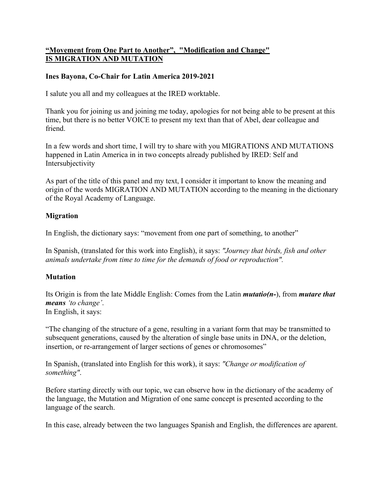# **"Movement from One Part to Another", "Modification and Change" IS MIGRATION AND MUTATION**

## **Ines Bayona, Co-Chair for Latin America 2019-2021**

I salute you all and my colleagues at the IRED worktable.

Thank you for joining us and joining me today, apologies for not being able to be present at this time, but there is no better VOICE to present my text than that of Abel, dear colleague and friend.

In a few words and short time, I will try to share with you MIGRATIONS AND MUTATIONS happened in Latin America in in two concepts already published by IRED: Self and Intersubjectivity

As part of the title of this panel and my text, I consider it important to know the meaning and origin of the words MIGRATION AND MUTATION according to the meaning in the dictionary of the Royal Academy of Language.

## **Migration**

In English, the dictionary says: "movement from one part of something, to another"

In Spanish, (translated for this work into English), it says: *"Journey that birds, fish and other animals undertake from time to time for the demands of food or reproduction".* 

## **Mutation**

Its Origin is from the late Middle English: Comes from the Latin *mutatio(n-*), from *mutare that means 'to change'*. In English, it says:

"The changing of the structure of a gene, resulting in a variant form that may be transmitted to subsequent generations, caused by the alteration of single base units in DNA, or the deletion, insertion, or re-arrangement of larger sections of genes or chromosomes"

In Spanish, (translated into English for this work), it says: *"Change or modification of something"*.

Before starting directly with our topic, we can observe how in the dictionary of the academy of the language, the Mutation and Migration of one same concept is presented according to the language of the search.

In this case, already between the two languages Spanish and English, the differences are aparent.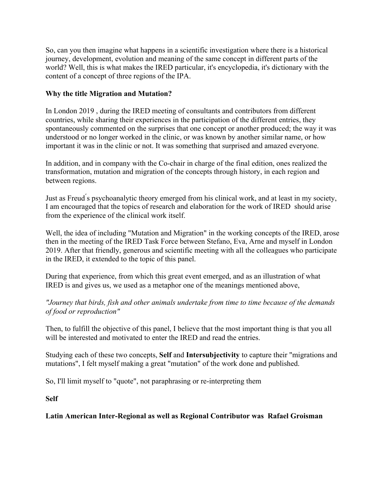So, can you then imagine what happens in a scientific investigation where there is a historical journey, development, evolution and meaning of the same concept in different parts of the world? Well, this is what makes the IRED particular, it's encyclopedia, it's dictionary with the content of a concept of three regions of the IPA.

## **Why the title Migration and Mutation?**

In London 2019 , during the IRED meeting of consultants and contributors from different countries, while sharing their experiences in the participation of the different entries, they spontaneously commented on the surprises that one concept or another produced; the way it was understood or no longer worked in the clinic, or was known by another similar name, or how important it was in the clinic or not. It was something that surprised and amazed everyone.

In addition, and in company with the Co-chair in charge of the final edition, ones realized the transformation, mutation and migration of the concepts through history, in each region and between regions.

Just as Freud ́s psychoanalytic theory emerged from his clinical work, and at least in my society, I am encouraged that the topics of research and elaboration for the work of IRED should arise from the experience of the clinical work itself.

Well, the idea of including "Mutation and Migration" in the working concepts of the IRED, arose then in the meeting of the IRED Task Force between Stefano, Eva, Arne and myself in London 2019. After that friendly, generous and scientific meeting with all the colleagues who participate in the IRED, it extended to the topic of this panel.

During that experience, from which this great event emerged, and as an illustration of what IRED is and gives us, we used as a metaphor one of the meanings mentioned above,

*"Journey that birds, fish and other animals undertake from time to time because of the demands of food or reproduction"* 

Then, to fulfill the objective of this panel, I believe that the most important thing is that you all will be interested and motivated to enter the IRED and read the entries.

Studying each of these two concepts, **Self** and **Intersubjectivity** to capture their "migrations and mutations", I felt myself making a great "mutation" of the work done and published.

So, I'll limit myself to "quote", not paraphrasing or re-interpreting them

**Self** 

## **Latin American Inter-Regional as well as Regional Contributor was Rafael Groisman**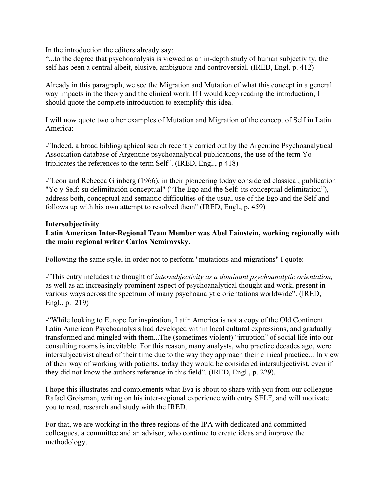In the introduction the editors already say:

"...to the degree that psychoanalysis is viewed as an in-depth study of human subjectivity, the self has been a central albeit, elusive, ambiguous and controversial. (IRED, Engl. p. 412)

Already in this paragraph, we see the Migration and Mutation of what this concept in a general way impacts in the theory and the clinical work. If I would keep reading the introduction, I should quote the complete introduction to exemplify this idea.

I will now quote two other examples of Mutation and Migration of the concept of Self in Latin America:

-"Indeed, a broad bibliographical search recently carried out by the Argentine Psychoanalytical Association database of Argentine psychoanalytical publications, the use of the term Yo triplicates the references to the term Self". (IRED, Engl., p 418)

-"Leon and Rebecca Grinberg (1966), in their pioneering today considered classical, publication "Yo y Self: su delimitación conceptual" ("The Ego and the Self: its conceptual delimitation"), address both, conceptual and semantic difficulties of the usual use of the Ego and the Self and follows up with his own attempt to resolved them" (IRED, Engl., p. 459)

#### **Intersubjectivity**

## **Latin American Inter-Regional Team Member was Abel Fainstein, working regionally with the main regional writer Carlos Nemirovsky.**

Following the same style, in order not to perform "mutations and migrations" I quote:

-"This entry includes the thought of *intersubjectivity as a dominant psychoanalytic orientation,*  as well as an increasingly prominent aspect of psychoanalytical thought and work, present in various ways across the spectrum of many psychoanalytic orientations worldwide". (IRED, Engl., p. 219)

-"While looking to Europe for inspiration, Latin America is not a copy of the Old Continent. Latin American Psychoanalysis had developed within local cultural expressions, and gradually transformed and mingled with them...The (sometimes violent) "irruption" of social life into our consulting rooms is inevitable. For this reason, many analysts, who practice decades ago, were intersubjectivist ahead of their time due to the way they approach their clinical practice... In view of their way of working with patients, today they would be considered intersubjectivist, even if they did not know the authors reference in this field". (IRED, Engl., p. 229).

I hope this illustrates and complements what Eva is about to share with you from our colleague Rafael Groisman, writing on his inter-regional experience with entry SELF, and will motivate you to read, research and study with the IRED.

For that, we are working in the three regions of the IPA with dedicated and committed colleagues, a committee and an advisor, who continue to create ideas and improve the methodology.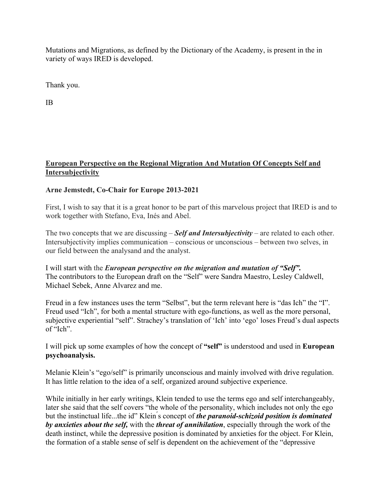Mutations and Migrations, as defined by the Dictionary of the Academy, is present in the in variety of ways IRED is developed.

Thank you.

IB

# **European Perspective on the Regional Migration And Mutation Of Concepts Self and Intersubjectivity**

# **Arne Jemstedt, Co-Chair for Europe 2013-2021**

First, I wish to say that it is a great honor to be part of this marvelous project that IRED is and to work together with Stefano, Eva, Inés and Abel.

The two concepts that we are discussing – *Self and Intersubjectivity* – are related to each other. Intersubjectivity implies communication – conscious or unconscious – between two selves, in our field between the analysand and the analyst.

I will start with the *European perspective on the migration and mutation of "Self".* The contributors to the European draft on the "Self" were Sandra Maestro, Lesley Caldwell, Michael Sebek, Anne Alvarez and me.

Freud in a few instances uses the term "Selbst", but the term relevant here is "das Ich" the "I". Freud used "Ich", for both a mental structure with ego-functions, as well as the more personal, subjective experiential "self". Strachey's translation of 'Ich' into 'ego' loses Freud's dual aspects of "Ich".

I will pick up some examples of how the concept of **"self"** is understood and used in **European psychoanalysis.** 

Melanie Klein's "ego/self" is primarily unconscious and mainly involved with drive regulation. It has little relation to the idea of a self, organized around subjective experience.

While initially in her early writings, Klein tended to use the terms ego and self interchangeably, later she said that the self covers "the whole of the personality, which includes not only the ego but the instinctual life...the id" Klein ́s concept of *the paranoid-schizoid position is dominated by anxieties about the self,* with the *threat of annihilation*, especially through the work of the death instinct, while the depressive position is dominated by anxieties for the object. For Klein, the formation of a stable sense of self is dependent on the achievement of the "depressive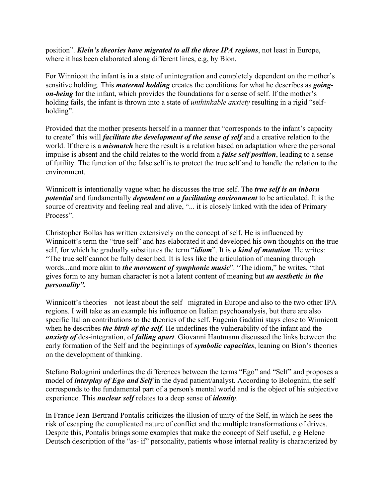position". *Klein's theories have migrated to all the three IPA regions*, not least in Europe, where it has been elaborated along different lines, e.g, by Bion.

For Winnicott the infant is in a state of unintegration and completely dependent on the mother's sensitive holding. This *maternal holding* creates the conditions for what he describes as *goingon-being* for the infant, which provides the foundations for a sense of self. If the mother's holding fails, the infant is thrown into a state of *unthinkable anxiety* resulting in a rigid "selfholding".

Provided that the mother presents herself in a manner that "corresponds to the infant's capacity to create" this will *facilitate the development of the sense of self* and a creative relation to the world. If there is a *mismatch* here the result is a relation based on adaptation where the personal impulse is absent and the child relates to the world from a *false self position*, leading to a sense of futility. The function of the false self is to protect the true self and to handle the relation to the environment.

Winnicott is intentionally vague when he discusses the true self. The *true self is an inborn potential* and fundamentally *dependent on a facilitating environment* to be articulated. It is the source of creativity and feeling real and alive, "... it is closely linked with the idea of Primary Process".

Christopher Bollas has written extensively on the concept of self. He is influenced by Winnicott's term the "true self" and has elaborated it and developed his own thoughts on the true self, for which he gradually substitutes the term "*idiom*". It is *a kind of mutation*. He writes: "The true self cannot be fully described. It is less like the articulation of meaning through words...and more akin to *the movement of symphonic music*". "The idiom," he writes, "that gives form to any human character is not a latent content of meaning but *an aesthetic in the personality".* 

Winnicott's theories – not least about the self –migrated in Europe and also to the two other IPA regions. I will take as an example his influence on Italian psychoanalysis, but there are also specific Italian contributions to the theories of the self. Eugenio Gaddini stays close to Winnicott when he describes *the birth of the self*. He underlines the vulnerability of the infant and the *anxiety of* des-integration, of *falling apart*. Giovanni Hautmann discussed the links between the early formation of the Self and the beginnings of *symbolic capacities*, leaning on Bion's theories on the development of thinking.

Stefano Bolognini underlines the differences between the terms "Ego" and "Self" and proposes a model of *interplay of Ego and Self* in the dyad patient/analyst. According to Bolognini, the self corresponds to the fundamental part of a person's mental world and is the object of his subjective experience. This *nuclear self* relates to a deep sense of *identity*.

In France Jean-Bertrand Pontalis criticizes the illusion of unity of the Self, in which he sees the risk of escaping the complicated nature of conflict and the multiple transformations of drives. Despite this, Pontalis brings some examples that make the concept of Self useful, e g Helene Deutsch description of the "as- if" personality, patients whose internal reality is characterized by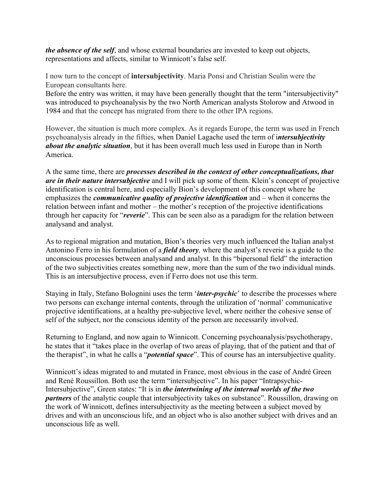*the absence of the self*, and whose external boundaries are invested to keep out objects, representations and affects, similar to Winnicott's false self.

I now turn to the concept of **intersubjectivity**. Maria Ponsi and Christian Seulin were the European consultants here.

Before the entry was written, it may have been generally thought that the term "intersubjectivity" was introduced to psychoanalysis by the two North American analysts Stolorow and Atwood in 1984 and that the concept has migrated from there to the other IPA regions.

However, the situation is much more complex. As it regards Europe, the term was used in French psychoanalysis already in the fifties, when Daniel Lagache used the term of i*ntersubjectivity about the analytic situation*, but it has been overall much less used in Europe than in North America.

A the same time, there are *processes described in the context of other conceptualizations, that are in their nature intersubjective* and I will pick up some of them. Klein's concept of projective identification is central here, and especially Bion's development of this concept where he emphasizes the *communicative quality of projective identification* and – when it concerns the relation between infant and mother – the mother's reception of the projective identifications through her capacity for "*reverie*". This can be seen also as a paradigm for the relation between analysand and analyst.

As to regional migration and mutation, Bion's theories very much influenced the Italian analyst Antonino Ferro in his formulation of a *field theory,* where the analyst's reverie is a guide to the unconscious processes between analysand and analyst. In this "bipersonal field" the interaction of the two subjectivities creates something new, more than the sum of the two individual minds. This is an intersubjective process, even if Ferro does not use this term.

Staying in Italy, Stefano Bolognini uses the term '*inter-psychic*' to describe the processes where two persons can exchange internal contents, through the utilization of 'normal' communicative projective identifications, at a healthy pre-subjective level, where neither the cohesive sense of self of the subject, nor the conscious identity of the person are necessarily involved.

Returning to England, and now again to Winnicott. Concerning psychoanalysis/psychotherapy, he states that it "takes place in the overlap of two areas of playing, that of the patient and that of the therapist", in what he calls a "*potential space*". This of course has an intersubjective quality.

Winnicott's ideas migrated to and mutated in France, most obvious in the case of André Green and René Roussillon. Both use the term "intersubjective". In his paper "Intrapsychic-Intersubjective", Green states: "It is in *the intertwining of the internal worlds of the two partners* of the analytic couple that intersubjectivity takes on substance". Roussillon, drawing on the work of Winnicott, defines intersubjectivity as the meeting between a subject moved by drives and with an unconscious life, and an object who is also another subject with drives and an unconscious life as well.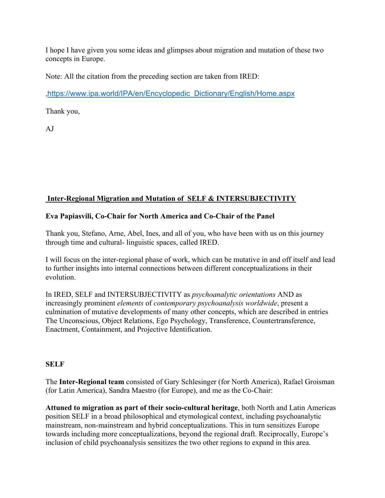I hope I have given you some ideas and glimpses about migration and mutation of these two concepts in Europe.

Note: All the citation from the preceding section are taken from IRED:

,https://www.ipa.world/IPA/en/Encyclopedic\_Dictionary/English/Home.aspx

Thank you,

AJ

# **Inter-Regional Migration and Mutation of SELF & INTERSUBJECTIVITY**

## **Eva Papiasvili, Co-Chair for North America and Co-Chair of the Panel**

Thank you, Stefano, Arne, Abel, Ines, and all of you, who have been with us on this journey through time and cultural- linguistic spaces, called IRED.

I will focus on the inter-regional phase of work, which can be mutative in and off itself and lead to further insights into internal connections between different conceptualizations in their evolution.

In IRED, SELF and INTERSUBJECTIVITY as *psychoanalytic orientations* AND as increasingly prominent *elements* of *contemporary psychoanalysis worldwide*, present a culmination of mutative developments of many other concepts, which are described in entries The Unconscious, Object Relations, Ego Psychology, Transference, Countertransference, Enactment, Containment, and Projective Identification.

## **SELF**

The **Inter-Regional team** consisted of Gary Schlesinger (for North America), Rafael Groisman (for Latin America), Sandra Maestro (for Europe), and me as the Co-Chair:

**Attuned to migration as part of their socio-cultural heritage**, both North and Latin Americas position SELF in a broad philosophical and etymological context, including psychoanalytic mainstream, non-mainstream and hybrid conceptualizations. This in turn sensitizes Europe towards including more conceptualizations, beyond the regional draft. Reciprocally, Europe's inclusion of child psychoanalysis sensitizes the two other regions to expand in this area.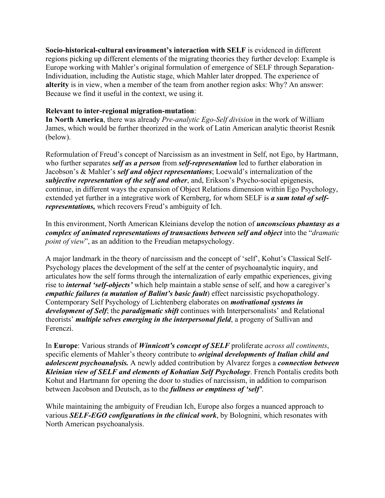**Socio-historical-cultural environment's interaction with SELF** is evidenced in different regions picking up different elements of the migrating theories they further develop: Example is Europe working with Mahler's original formulation of emergence of SELF through Separation-Individuation, including the Autistic stage, which Mahler later dropped. The experience of **alterity** is in view, when a member of the team from another region asks: Why? An answer: Because we find it useful in the context, we using it.

#### **Relevant to inter-regional migration-mutation**:

**In North America**, there was already *Pre-analytic Ego-Self division* in the work of William James, which would be further theorized in the work of Latin American analytic theorist Resnik (below).

Reformulation of Freud's concept of Narcissism as an investment in Self, not Ego, by Hartmann, who further separates *self as a person* from *self-representation* led to further elaboration in Jacobson's & Mahler's *self and object representations*; Loewald's internalization of the *subjective representation of the self and other*, and, Erikson's Psycho-social epigenesis, continue, in different ways the expansion of Object Relations dimension within Ego Psychology, extended yet further in a integrative work of Kernberg, for whom SELF is *a sum total of selfrepresentations,* which recovers Freud's ambiguity of Ich.

In this environment, North American Kleinians develop the notion of *unconscious phantasy as a complex of animated representations of transactions between self and object* into the "*dramatic point of view*", as an addition to the Freudian metapsychology.

A major landmark in the theory of narcissism and the concept of 'self', Kohut's Classical Self-Psychology places the development of the self at the center of psychoanalytic inquiry, and articulates how the self forms through the internalization of early empathic experiences, giving rise to *internal 'self-objects'* which help maintain a stable sense of self, and how a caregiver's *empathic failures (a mutation of Balint's basic fault*) effect narcissistic psychopathology. Contemporary Self Psychology of Lichtenberg elaborates on *motivational systems in development of Self*; the *paradigmatic shift* continues with Interpersonalists' and Relational theorists' *multiple selves emerging in the interpersonal field*, a progeny of Sullivan and Ferenczi.

In **Europe**: Various strands of *Winnicott's concept of SELF* proliferate *across all continents*, specific elements of Mahler's theory contribute to *original developments of Italian child and adolescent psychoanalysis.* A newly added contribution by Alvarez forges a *connection between Kleinian view of SELF and elements of Kohutian Self Psychology*. French Pontalis credits both Kohut and Hartmann for opening the door to studies of narcissism, in addition to comparison between Jacobson and Deutsch, as to the *fullness or emptiness of 'self'*.

While maintaining the ambiguity of Freudian Ich, Europe also forges a nuanced approach to various *SELF-EGO configurations in the clinical work*, by Bolognini, which resonates with North American psychoanalysis.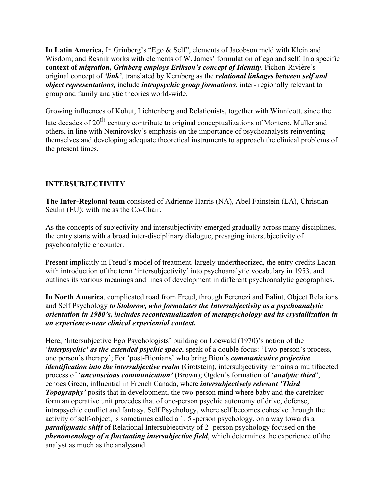**In Latin America,** In Grinberg's "Ego & Self", elements of Jacobson meld with Klein and Wisdom; and Resnik works with elements of W. James' formulation of ego and self. In a specific **context of** *migration, Grinberg employs Erikson's concept of Identity*. Pichon-Rivière's original concept of *'link'*, translated by Kernberg as the *relational linkages between self and object representations,* include *intrapsychic group formations*, inter- regionally relevant to group and family analytic theories world-wide.

Growing influences of Kohut, Lichtenberg and Relationists, together with Winnicott, since the

late decades of  $20<sup>th</sup>$  century contribute to original conceptualizations of Montero, Muller and others, in line with Nemirovsky's emphasis on the importance of psychoanalysts reinventing themselves and developing adequate theoretical instruments to approach the clinical problems of the present times.

# **INTERSUBJECTIVITY**

**The Inter-Regional team** consisted of Adrienne Harris (NA), Abel Fainstein (LA), Christian Seulin (EU); with me as the Co-Chair.

As the concepts of subjectivity and intersubjectivity emerged gradually across many disciplines, the entry starts with a broad inter-disciplinary dialogue, presaging intersubjectivity of psychoanalytic encounter.

Present implicitly in Freud's model of treatment, largely undertheorized, the entry credits Lacan with introduction of the term 'intersubjectivity' into psychoanalytic vocabulary in 1953, and outlines its various meanings and lines of development in different psychoanalytic geographies.

**In North America**, complicated road from Freud, through Ferenczi and Balint, Object Relations and Self Psychology *to Stolorow, who formulates the Intersubjectivity as a psychoanalytic orientation in 1980's, includes recontextualization of metapsychology and its crystallization in an experience-near clinical experiential context.*

Here, 'Intersubjective Ego Psychologists' building on Loewald (1970)'s notion of the '*interpsychic' as the extended psychic space*, speak of a double focus: 'Two-person's process, one person's therapy'; For 'post-Bionians' who bring Bion's *communicative projective identification into the intersubjective realm* (Grotstein), intersubjectivity remains a multifaceted process of '*unconscious communication'* (Brown); Ogden's formation of '*analytic third'*, echoes Green, influential in French Canada, where *intersubjectively relevant 'Third Topography'* posits that in development, the two-person mind where baby and the caretaker form an operative unit precedes that of one-person psychic autonomy of drive, defense, intrapsychic conflict and fantasy. Self Psychology, where self becomes cohesive through the activity of self-object, is sometimes called a 1. 5 -person psychology, on a way towards a *paradigmatic shift* of Relational Intersubjectivity of 2 -person psychology focused on the *phenomenology of a fluctuating intersubjective field*, which determines the experience of the analyst as much as the analysand.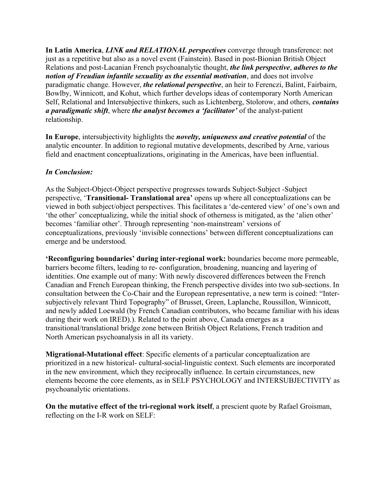**In Latin America**, *LINK and RELATIONAL perspectives* converge through transference: not just as a repetitive but also as a novel event (Fainstein). Based in post-Bionian British Object Relations and post-Lacanian French psychoanalytic thought, *the link perspective*, *adheres to the notion of Freudian infantile sexuality as the essential motivation*, and does not involve paradigmatic change. However, *the relational perspective*, an heir to Ferenczi, Balint, Fairbairn, Bowlby, Winnicott, and Kohut, which further develops ideas of contemporary North American Self, Relational and Intersubjective thinkers, such as Lichtenberg, Stolorow, and others, *contains a paradigmatic shift*, where *the analyst becomes a 'facilitator'* of the analyst-patient relationship.

**In Europe**, intersubjectivity highlights the *novelty, uniqueness and creative potential* of the analytic encounter. In addition to regional mutative developments, described by Arne, various field and enactment conceptualizations, originating in the Americas, have been influential.

## *In Conclusion:*

As the Subject-Object-Object perspective progresses towards Subject-Subject -Subject perspective, '**Transitional- Translational area'** opens up where all conceptualizations can be viewed in both subject/object perspectives. This facilitates a 'de-centered view' of one's own and 'the other' conceptualizing, while the initial shock of otherness is mitigated, as the 'alien other' becomes 'familiar other'. Through representing 'non-mainstream' versions of conceptualizations, previously 'invisible connections' between different conceptualizations can emerge and be understood.

**'Reconfiguring boundaries' during inter-regional work:** boundaries become more permeable, barriers become filters, leading to re- configuration, broadening, nuancing and layering of identities. One example out of many: With newly discovered differences between the French Canadian and French European thinking, the French perspective divides into two sub-sections. In consultation between the Co-Chair and the European representative, a new term is coined: "Intersubjectively relevant Third Topography" of Brusset, Green, Laplanche, Roussillon, Winnicott, and newly added Loewald (by French Canadian contributors, who became familiar with his ideas during their work on IRED).). Related to the point above, Canada emerges as a transitional/translational bridge zone between British Object Relations, French tradition and North American psychoanalysis in all its variety.

**Migrational-Mutational effect**: Specific elements of a particular conceptualization are prioritized in a new historical- cultural-social-linguistic context. Such elements are incorporated in the new environment, which they reciprocally influence. In certain circumstances, new elements become the core elements, as in SELF PSYCHOLOGY and INTERSUBJECTIVITY as psychoanalytic orientations.

**On the mutative effect of the tri-regional work itself**, a prescient quote by Rafael Groisman, reflecting on the I-R work on SELF: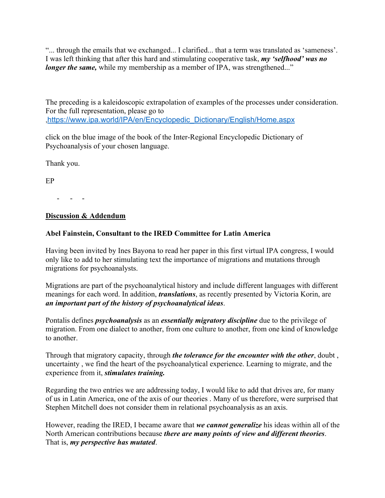"... through the emails that we exchanged... I clarified... that a term was translated as 'sameness'. I was left thinking that after this hard and stimulating cooperative task, *my 'selfhood' was no longer the same*, while my membership as a member of IPA, was strengthened..."

The preceding is a kaleidoscopic extrapolation of examples of the processes under consideration. For the full representation, please go to ,https://www.ipa.world/IPA/en/Encyclopedic\_Dictionary/English/Home.aspx

click on the blue image of the book of the Inter-Regional Encyclopedic Dictionary of Psychoanalysis of your chosen language.

Thank you.

EP

- - -

## **Discussion & Addendum**

## **Abel Fainstein, Consultant to the IRED Committee for Latin America**

Having been invited by Ines Bayona to read her paper in this first virtual IPA congress, I would only like to add to her stimulating text the importance of migrations and mutations through migrations for psychoanalysts.

Migrations are part of the psychoanalytical history and include different languages with different meanings for each word. In addition, *translations*, as recently presented by Victoria Korin, are *an important part of the history of psychoanalytical ideas*.

Pontalis defines *psychoanalysis* as an *essentially migratory discipline* due to the privilege of migration. From one dialect to another, from one culture to another, from one kind of knowledge to another.

Through that migratory capacity, through *the tolerance for the encounter with the other*, doubt , uncertainty , we find the heart of the psychoanalytical experience. Learning to migrate, and the experience from it, *stimulates training.*

Regarding the two entries we are addressing today, I would like to add that drives are, for many of us in Latin America, one of the axis of our theories . Many of us therefore, were surprised that Stephen Mitchell does not consider them in relational psychoanalysis as an axis.

However, reading the IRED, I became aware that *we cannot generalize* his ideas within all of the North American contributions because *there are many points of view and different theories*. That is, *my perspective has mutated*.